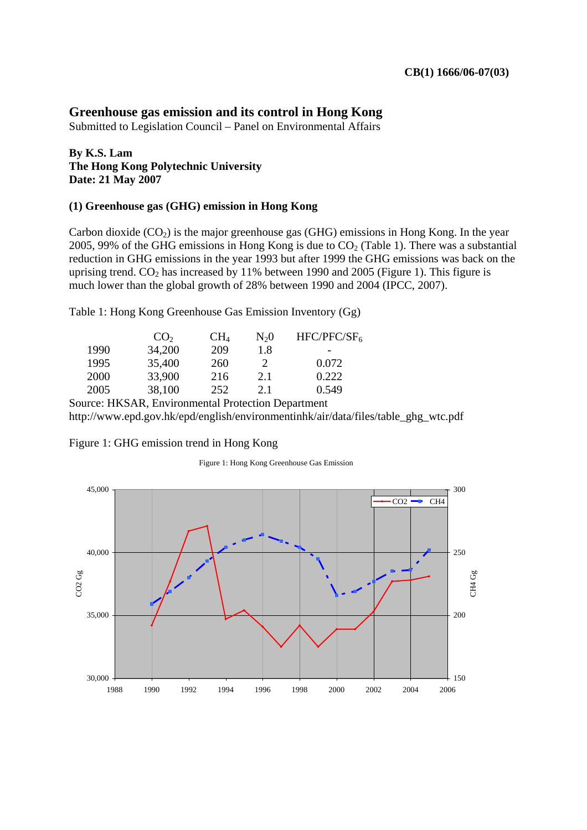# **Greenhouse gas emission and its control in Hong Kong**

Submitted to Legislation Council – Panel on Environmental Affairs

## **By K.S. Lam The Hong Kong Polytechnic University Date: 21 May 2007**

#### **(1) Greenhouse gas (GHG) emission in Hong Kong**

Carbon dioxide  $(CO<sub>2</sub>)$  is the major greenhouse gas  $(GHG)$  emissions in Hong Kong. In the year 2005, 99% of the GHG emissions in Hong Kong is due to  $CO<sub>2</sub>$  (Table 1). There was a substantial reduction in GHG emissions in the year 1993 but after 1999 the GHG emissions was back on the uprising trend.  $CO<sub>2</sub>$  has increased by 11% between 1990 and 2005 (Figure 1). This figure is much lower than the global growth of 28% between 1990 and 2004 (IPCC, 2007).

Table 1: Hong Kong Greenhouse Gas Emission Inventory (Gg)

|                                                    | CO <sub>2</sub> | CH <sub>4</sub> | $N_20$ | HFC/PFC/SF <sub>6</sub> |  |
|----------------------------------------------------|-----------------|-----------------|--------|-------------------------|--|
| 1990                                               | 34,200          | 209             | 1.8    |                         |  |
| 1995                                               | 35,400          | 260             |        | 0.072                   |  |
| 2000                                               | 33,900          | 216             | 2.1    | 0.222                   |  |
| 2005                                               | 38,100          | 252             | 2.1    | 0.549                   |  |
| Source: HKSAR, Environmental Protection Department |                 |                 |        |                         |  |

http://www.epd.gov.hk/epd/english/environmentinhk/air/data/files/table\_ghg\_wtc.pdf

#### Figure 1: GHG emission trend in Hong Kong

Figure 1: Hong Kong Greenhouse Gas Emission

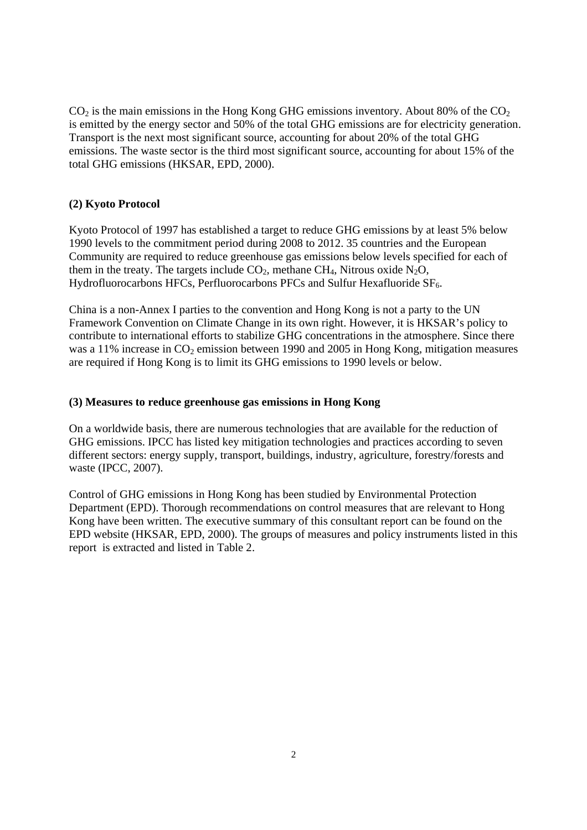$CO<sub>2</sub>$  is the main emissions in the Hong Kong GHG emissions inventory. About 80% of the  $CO<sub>2</sub>$ is emitted by the energy sector and 50% of the total GHG emissions are for electricity generation. Transport is the next most significant source, accounting for about 20% of the total GHG emissions. The waste sector is the third most significant source, accounting for about 15% of the total GHG emissions (HKSAR, EPD, 2000).

### **(2) Kyoto Protocol**

Kyoto Protocol of 1997 has established a target to reduce GHG emissions by at least 5% below 1990 levels to the commitment period during 2008 to 2012. 35 countries and the European Community are required to reduce greenhouse gas emissions below levels specified for each of them in the treaty. The targets include  $CO_2$ , methane  $CH_4$ , Nitrous oxide N<sub>2</sub>O, Hydrofluorocarbons HFCs, Perfluorocarbons PFCs and Sulfur Hexafluoride SF<sub>6</sub>.

China is a non-Annex I parties to the convention and Hong Kong is not a party to the UN Framework Convention on Climate Change in its own right. However, it is HKSAR's policy to contribute to international efforts to stabilize GHG concentrations in the atmosphere. Since there was a 11% increase in  $CO_2$  emission between 1990 and 2005 in Hong Kong, mitigation measures are required if Hong Kong is to limit its GHG emissions to 1990 levels or below.

#### **(3) Measures to reduce greenhouse gas emissions in Hong Kong**

On a worldwide basis, there are numerous technologies that are available for the reduction of GHG emissions. IPCC has listed key mitigation technologies and practices according to seven different sectors: energy supply, transport, buildings, industry, agriculture, forestry/forests and waste (IPCC, 2007).

Control of GHG emissions in Hong Kong has been studied by Environmental Protection Department (EPD). Thorough recommendations on control measures that are relevant to Hong Kong have been written. The executive summary of this consultant report can be found on the EPD website (HKSAR, EPD, 2000). The groups of measures and policy instruments listed in this report is extracted and listed in Table 2.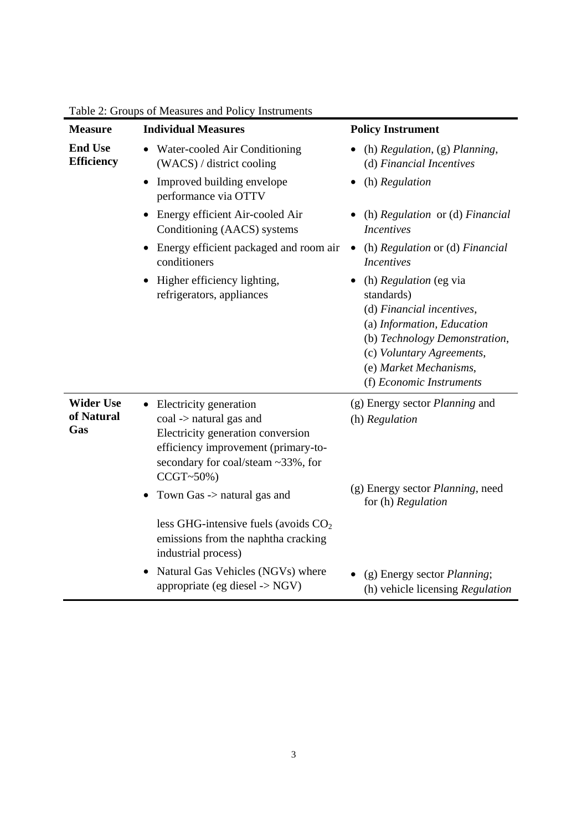| <b>Measure</b>                      | <b>Individual Measures</b>                                                                                                                                                                                                         | <b>Policy Instrument</b>                                                                                                                                                                                            |
|-------------------------------------|------------------------------------------------------------------------------------------------------------------------------------------------------------------------------------------------------------------------------------|---------------------------------------------------------------------------------------------------------------------------------------------------------------------------------------------------------------------|
| <b>End Use</b><br><b>Efficiency</b> | • Water-cooled Air Conditioning<br>(WACS) / district cooling                                                                                                                                                                       | (h) Regulation, (g) Planning,<br>(d) Financial Incentives                                                                                                                                                           |
|                                     | Improved building envelope<br>performance via OTTV                                                                                                                                                                                 | (h) Regulation                                                                                                                                                                                                      |
|                                     | • Energy efficient Air-cooled Air<br>Conditioning (AACS) systems                                                                                                                                                                   | (h) Regulation or (d) Financial<br><b>Incentives</b>                                                                                                                                                                |
|                                     | Energy efficient packaged and room air<br>conditioners                                                                                                                                                                             | (h) Regulation or (d) Financial<br>$\bullet$<br><i>Incentives</i>                                                                                                                                                   |
|                                     | Higher efficiency lighting,<br>refrigerators, appliances                                                                                                                                                                           | (h) Regulation (eg via<br>standards)<br>(d) Financial incentives,<br>(a) Information, Education<br>(b) Technology Demonstration,<br>(c) Voluntary Agreements,<br>(e) Market Mechanisms,<br>(f) Economic Instruments |
| <b>Wider Use</b>                    | Electricity generation                                                                                                                                                                                                             | (g) Energy sector <i>Planning</i> and                                                                                                                                                                               |
| of Natural<br>Gas                   | coal -> natural gas and<br>Electricity generation conversion<br>efficiency improvement (primary-to-<br>secondary for coal/steam ~33%, for<br>$CCGT~50\%)$<br>Town Gas -> natural gas and<br>less GHG-intensive fuels (avoids $CO2$ | (h) Regulation<br>(g) Energy sector <i>Planning</i> , need<br>for (h) Regulation                                                                                                                                    |
|                                     | emissions from the naphtha cracking<br>industrial process)                                                                                                                                                                         |                                                                                                                                                                                                                     |
|                                     | Natural Gas Vehicles (NGVs) where<br>appropriate (eg diesel -> NGV)                                                                                                                                                                | (g) Energy sector <i>Planning</i> ;<br>(h) vehicle licensing Regulation                                                                                                                                             |

Table 2: Groups of Measures and Policy Instruments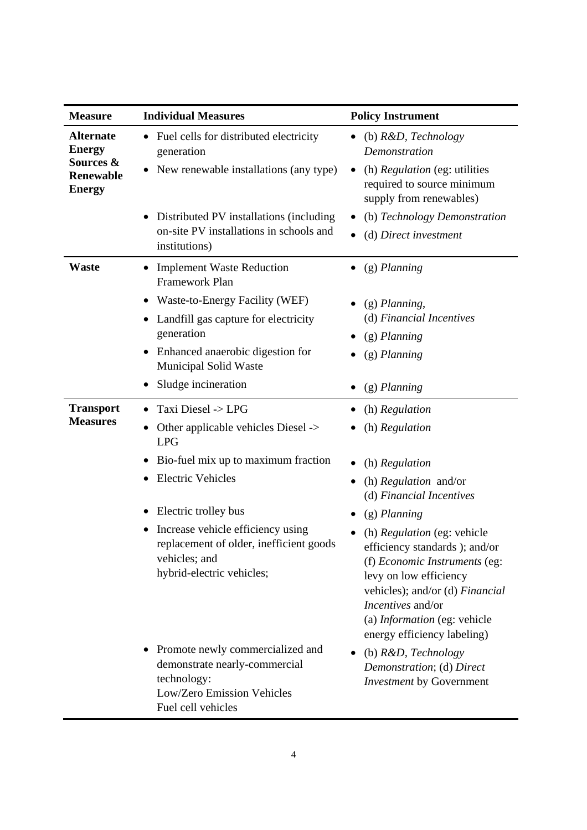| <b>Measure</b>                                                                      | <b>Individual Measures</b>                                                                                                           | <b>Policy Instrument</b>                                                                                                                                                                                                                                       |
|-------------------------------------------------------------------------------------|--------------------------------------------------------------------------------------------------------------------------------------|----------------------------------------------------------------------------------------------------------------------------------------------------------------------------------------------------------------------------------------------------------------|
| <b>Alternate</b><br><b>Energy</b><br>Sources &<br><b>Renewable</b><br><b>Energy</b> | Fuel cells for distributed electricity<br>generation                                                                                 | (b) $R&D$ , Technology<br>$\bullet$<br>Demonstration                                                                                                                                                                                                           |
|                                                                                     | New renewable installations (any type)                                                                                               | (h) Regulation (eg: utilities<br>$\bullet$<br>required to source minimum<br>supply from renewables)                                                                                                                                                            |
|                                                                                     | Distributed PV installations (including<br>$\bullet$<br>on-site PV installations in schools and<br>institutions)                     | (b) Technology Demonstration<br>(d) Direct investment                                                                                                                                                                                                          |
| <b>Waste</b>                                                                        | <b>Implement Waste Reduction</b><br>Framework Plan                                                                                   | (g) Planning                                                                                                                                                                                                                                                   |
|                                                                                     | Waste-to-Energy Facility (WEF)<br>Landfill gas capture for electricity<br>$\bullet$<br>generation                                    | $(g)$ Planning,<br>(d) Financial Incentives<br>(g) Planning                                                                                                                                                                                                    |
|                                                                                     | Enhanced anaerobic digestion for<br><b>Municipal Solid Waste</b>                                                                     | (g) Planning                                                                                                                                                                                                                                                   |
|                                                                                     | Sludge incineration                                                                                                                  | $(g)$ Planning                                                                                                                                                                                                                                                 |
| <b>Transport</b><br><b>Measures</b>                                                 | Taxi Diesel -> LPG<br>$\bullet$                                                                                                      | (h) Regulation                                                                                                                                                                                                                                                 |
|                                                                                     | Other applicable vehicles Diesel -><br><b>LPG</b>                                                                                    | (h) Regulation                                                                                                                                                                                                                                                 |
|                                                                                     | Bio-fuel mix up to maximum fraction                                                                                                  | (h) Regulation                                                                                                                                                                                                                                                 |
|                                                                                     | <b>Electric Vehicles</b>                                                                                                             | (h) $Regularion$ and/or<br>(d) Financial Incentives                                                                                                                                                                                                            |
|                                                                                     | Electric trolley bus                                                                                                                 | (g) Planning                                                                                                                                                                                                                                                   |
|                                                                                     | Increase vehicle efficiency using<br>replacement of older, inefficient goods<br>vehicles; and<br>hybrid-electric vehicles;           | (h) <i>Regulation</i> (eg: vehicle)<br>efficiency standards ); and/or<br>(f) Economic Instruments (eg:<br>levy on low efficiency<br>vehicles); and/or (d) Financial<br><i>Incentives</i> and/or<br>(a) Information (eg: vehicle<br>energy efficiency labeling) |
|                                                                                     | Promote newly commercialized and<br>demonstrate nearly-commercial<br>technology:<br>Low/Zero Emission Vehicles<br>Fuel cell vehicles | (b) R&D, Technology<br>Demonstration; (d) Direct<br><b>Investment by Government</b>                                                                                                                                                                            |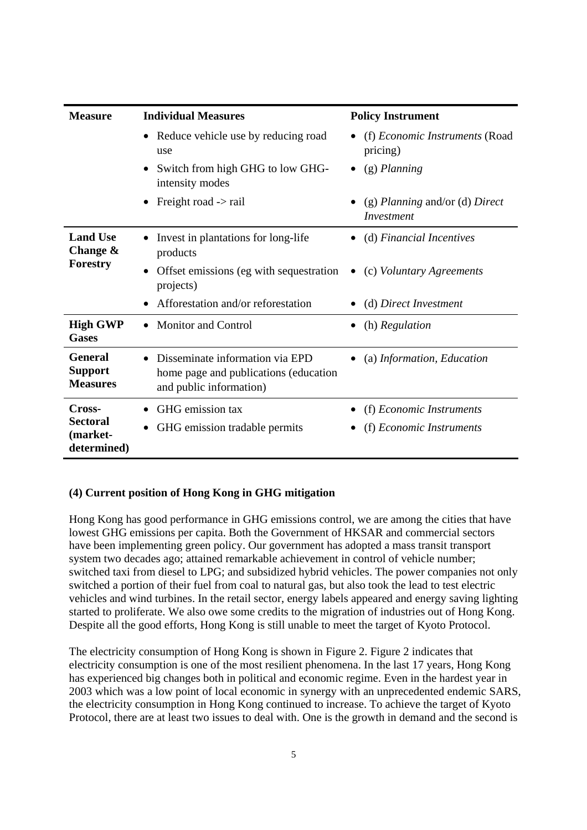| <b>Measure</b>                                       | <b>Individual Measures</b>                                                                          | <b>Policy Instrument</b>                                |  |
|------------------------------------------------------|-----------------------------------------------------------------------------------------------------|---------------------------------------------------------|--|
|                                                      | • Reduce vehicle use by reducing road<br>use                                                        | (f) Economic Instruments (Road<br>$\bullet$<br>pricing) |  |
|                                                      | Switch from high GHG to low GHG-<br>intensity modes                                                 | (g) Planning                                            |  |
|                                                      | Freight road -> rail                                                                                | (g) Planning and/or (d) Direct<br>Investment            |  |
| <b>Land Use</b><br>Change $\&$<br>Forestry           | Invest in plantations for long-life<br>products                                                     | (d) Financial Incentives                                |  |
|                                                      | Offset emissions (eg with sequestration<br>projects)                                                | (c) Voluntary Agreements                                |  |
|                                                      | Afforestation and/or reforestation                                                                  | (d) Direct Investment                                   |  |
| <b>High GWP</b><br><b>Gases</b>                      | <b>Monitor and Control</b>                                                                          | (h) Regulation                                          |  |
| <b>General</b><br><b>Support</b><br><b>Measures</b>  | Disseminate information via EPD<br>home page and publications (education<br>and public information) | (a) Information, Education                              |  |
| Cross-<br><b>Sectoral</b><br>(market-<br>determined) | GHG emission tax<br>GHG emission tradable permits                                                   | (f) Economic Instruments<br>(f) Economic Instruments    |  |

# **(4) Current position of Hong Kong in GHG mitigation**

Hong Kong has good performance in GHG emissions control, we are among the cities that have lowest GHG emissions per capita. Both the Government of HKSAR and commercial sectors have been implementing green policy. Our government has adopted a mass transit transport system two decades ago; attained remarkable achievement in control of vehicle number; switched taxi from diesel to LPG; and subsidized hybrid vehicles. The power companies not only switched a portion of their fuel from coal to natural gas, but also took the lead to test electric vehicles and wind turbines. In the retail sector, energy labels appeared and energy saving lighting started to proliferate. We also owe some credits to the migration of industries out of Hong Kong. Despite all the good efforts, Hong Kong is still unable to meet the target of Kyoto Protocol.

The electricity consumption of Hong Kong is shown in Figure 2. Figure 2 indicates that electricity consumption is one of the most resilient phenomena. In the last 17 years, Hong Kong has experienced big changes both in political and economic regime. Even in the hardest year in 2003 which was a low point of local economic in synergy with an unprecedented endemic SARS, the electricity consumption in Hong Kong continued to increase. To achieve the target of Kyoto Protocol, there are at least two issues to deal with. One is the growth in demand and the second is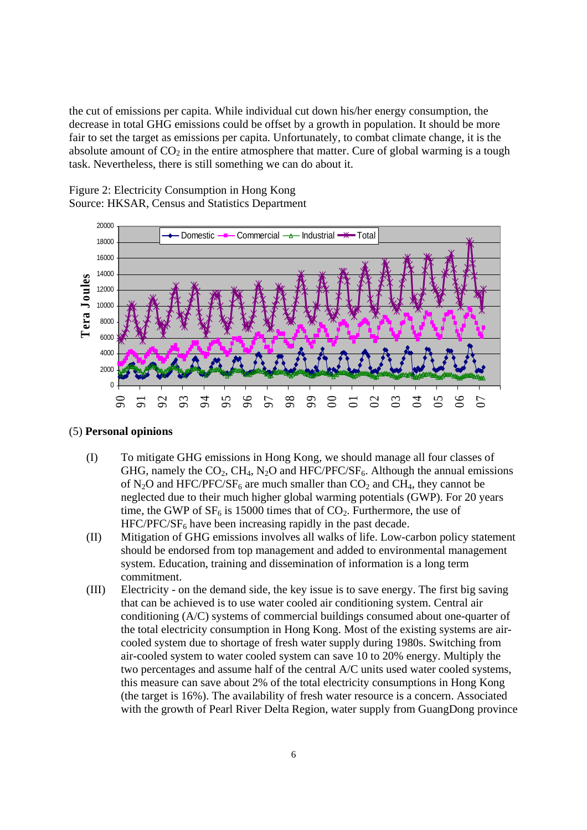the cut of emissions per capita. While individual cut down his/her energy consumption, the decrease in total GHG emissions could be offset by a growth in population. It should be more fair to set the target as emissions per capita. Unfortunately, to combat climate change, it is the absolute amount of  $CO<sub>2</sub>$  in the entire atmosphere that matter. Cure of global warming is a tough task. Nevertheless, there is still something we can do about it.

Figure 2: Electricity Consumption in Hong Kong Source: HKSAR, Census and Statistics Department



#### (5) **Personal opinions**

- (I) To mitigate GHG emissions in Hong Kong, we should manage all four classes of GHG, namely the  $CO_2$ , CH<sub>4</sub>, N<sub>2</sub>O and HFC/PFC/SF<sub>6</sub>. Although the annual emissions of N<sub>2</sub>O and HFC/PFC/SF<sub>6</sub> are much smaller than  $CO_2$  and CH<sub>4</sub>, they cannot be neglected due to their much higher global warming potentials (GWP). For 20 years time, the GWP of  $SF_6$  is 15000 times that of  $CO_2$ . Furthermore, the use of  $HFC/PFC/SF<sub>6</sub>$  have been increasing rapidly in the past decade.
- (II) Mitigation of GHG emissions involves all walks of life. Low-carbon policy statement should be endorsed from top management and added to environmental management system. Education, training and dissemination of information is a long term commitment.
- (III) Electricity on the demand side, the key issue is to save energy. The first big saving that can be achieved is to use water cooled air conditioning system. Central air conditioning (A/C) systems of commercial buildings consumed about one-quarter of the total electricity consumption in Hong Kong. Most of the existing systems are aircooled system due to shortage of fresh water supply during 1980s. Switching from air-cooled system to water cooled system can save 10 to 20% energy. Multiply the two percentages and assume half of the central A/C units used water cooled systems, this measure can save about 2% of the total electricity consumptions in Hong Kong (the target is 16%). The availability of fresh water resource is a concern. Associated with the growth of Pearl River Delta Region, water supply from GuangDong province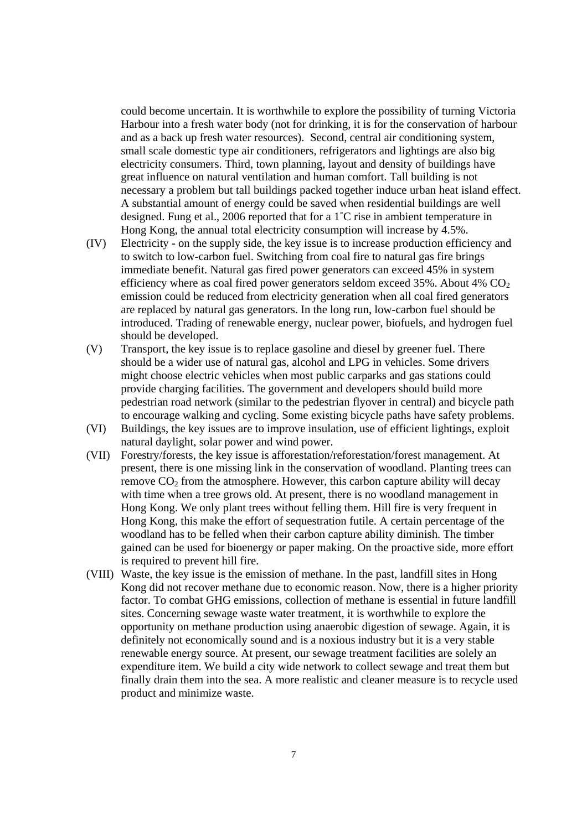could become uncertain. It is worthwhile to explore the possibility of turning Victoria Harbour into a fresh water body (not for drinking, it is for the conservation of harbour and as a back up fresh water resources). Second, central air conditioning system, small scale domestic type air conditioners, refrigerators and lightings are also big electricity consumers. Third, town planning, layout and density of buildings have great influence on natural ventilation and human comfort. Tall building is not necessary a problem but tall buildings packed together induce urban heat island effect. A substantial amount of energy could be saved when residential buildings are well designed. Fung et al., 2006 reported that for a 1˚C rise in ambient temperature in Hong Kong, the annual total electricity consumption will increase by 4.5%.

- (IV) Electricity on the supply side, the key issue is to increase production efficiency and to switch to low-carbon fuel. Switching from coal fire to natural gas fire brings immediate benefit. Natural gas fired power generators can exceed 45% in system efficiency where as coal fired power generators seldom exceed  $35\%$ . About  $4\%$  CO<sub>2</sub> emission could be reduced from electricity generation when all coal fired generators are replaced by natural gas generators. In the long run, low-carbon fuel should be introduced. Trading of renewable energy, nuclear power, biofuels, and hydrogen fuel should be developed.
- (V) Transport, the key issue is to replace gasoline and diesel by greener fuel. There should be a wider use of natural gas, alcohol and LPG in vehicles. Some drivers might choose electric vehicles when most public carparks and gas stations could provide charging facilities. The government and developers should build more pedestrian road network (similar to the pedestrian flyover in central) and bicycle path to encourage walking and cycling. Some existing bicycle paths have safety problems.
- (VI) Buildings, the key issues are to improve insulation, use of efficient lightings, exploit natural daylight, solar power and wind power.
- (VII) Forestry/forests, the key issue is afforestation/reforestation/forest management. At present, there is one missing link in the conservation of woodland. Planting trees can remove  $CO<sub>2</sub>$  from the atmosphere. However, this carbon capture ability will decay with time when a tree grows old. At present, there is no woodland management in Hong Kong. We only plant trees without felling them. Hill fire is very frequent in Hong Kong, this make the effort of sequestration futile. A certain percentage of the woodland has to be felled when their carbon capture ability diminish. The timber gained can be used for bioenergy or paper making. On the proactive side, more effort is required to prevent hill fire.
- (VIII) Waste, the key issue is the emission of methane. In the past, landfill sites in Hong Kong did not recover methane due to economic reason. Now, there is a higher priority factor. To combat GHG emissions, collection of methane is essential in future landfill sites. Concerning sewage waste water treatment, it is worthwhile to explore the opportunity on methane production using anaerobic digestion of sewage. Again, it is definitely not economically sound and is a noxious industry but it is a very stable renewable energy source. At present, our sewage treatment facilities are solely an expenditure item. We build a city wide network to collect sewage and treat them but finally drain them into the sea. A more realistic and cleaner measure is to recycle used product and minimize waste.